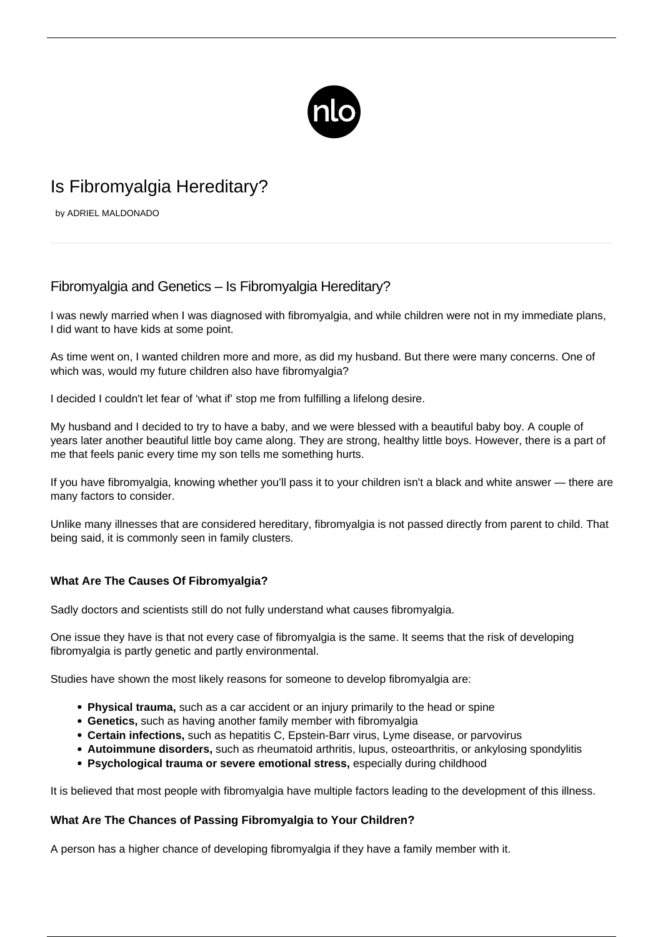

# Is Fibromyalgia Hereditary?

by ADRIEL MALDONADO

# Fibromyalgia and Genetics – Is Fibromyalgia Hereditary?

I was newly married when I was diagnosed with fibromyalgia, and while children were not in my immediate plans, I did want to have kids at some point.

As time went on, I wanted children more and more, as did my husband. But there were many concerns. One of which was, would my future children also have fibromyalgia?

I decided I couldn't let fear of 'what if' stop me from fulfilling a lifelong desire.

My husband and I decided to try to have a baby, and we were blessed with a beautiful baby boy. A couple of years later another beautiful little boy came along. They are strong, healthy little boys. However, there is a part of me that feels panic every time my son tells me something hurts.

If you have fibromyalgia, knowing whether you'll pass it to your [children](/fibromyalgia-in-children/) isn't a black and white answer — there are many factors to consider.

Unlike many illnesses that are considered hereditary, fibromyalgia is not passed directly from parent to child. That being said, it is commonly seen in family clusters.

## **What Are The Causes Of Fibromyalgia?**

Sadly doctors and scientists still do not fully understand what causes fibromyalgia.

One issue they have is that not every case of fibromyalgia is the same. It seems that the risk of developing fibromyalgia is partly genetic and partly environmental.

Studies have shown the most likely reasons for someone to develop fibromyalgia are:

- **Physical trauma,** such as a car accident or an injury primarily to the head or spine
- **Genetics,** such as having another family member with fibromyalgia
- **Certain infections,** such as hepatitis C, Epstein-Barr virus, Lyme disease, or parvovirus
- **Autoimmune disorders,** such as rheumatoid arthritis, lupus, osteoarthritis, or ankylosing spondylitis
- **Psychological trauma or severe emotional stress,** especially during childhood

It is believed that most people with fibromyalgia have multiple factors leading to the development of this illness.

#### **What Are The Chances of Passing Fibromyalgia to Your Children?**

A person has a higher chance of developing fibromyalgia if they have a family member with it.